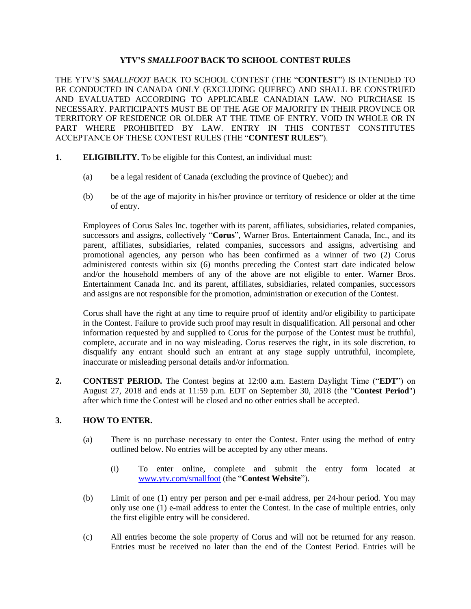## **YTV'S** *SMALLFOOT* **BACK TO SCHOOL CONTEST RULES**

THE YTV'S *SMALLFOOT* BACK TO SCHOOL CONTEST (THE "**CONTEST**") IS INTENDED TO BE CONDUCTED IN CANADA ONLY (EXCLUDING QUEBEC) AND SHALL BE CONSTRUED AND EVALUATED ACCORDING TO APPLICABLE CANADIAN LAW. NO PURCHASE IS NECESSARY. PARTICIPANTS MUST BE OF THE AGE OF MAJORITY IN THEIR PROVINCE OR TERRITORY OF RESIDENCE OR OLDER AT THE TIME OF ENTRY. VOID IN WHOLE OR IN PART WHERE PROHIBITED BY LAW. ENTRY IN THIS CONTEST CONSTITUTES ACCEPTANCE OF THESE CONTEST RULES (THE "**CONTEST RULES**").

- **1. ELIGIBILITY.** To be eligible for this Contest, an individual must:
	- (a) be a legal resident of Canada (excluding the province of Quebec); and
	- (b) be of the age of majority in his/her province or territory of residence or older at the time of entry.

Employees of Corus Sales Inc. together with its parent, affiliates, subsidiaries, related companies, successors and assigns, collectively "**Corus**", Warner Bros. Entertainment Canada, Inc., and its parent, affiliates, subsidiaries, related companies, successors and assigns, advertising and promotional agencies, any person who has been confirmed as a winner of two (2) Corus administered contests within six (6) months preceding the Contest start date indicated below and/or the household members of any of the above are not eligible to enter. Warner Bros. Entertainment Canada Inc. and its parent, affiliates, subsidiaries, related companies, successors and assigns are not responsible for the promotion, administration or execution of the Contest.

Corus shall have the right at any time to require proof of identity and/or eligibility to participate in the Contest. Failure to provide such proof may result in disqualification. All personal and other information requested by and supplied to Corus for the purpose of the Contest must be truthful, complete, accurate and in no way misleading. Corus reserves the right, in its sole discretion, to disqualify any entrant should such an entrant at any stage supply untruthful, incomplete, inaccurate or misleading personal details and/or information.

**2. CONTEST PERIOD.** The Contest begins at 12:00 a.m. Eastern Daylight Time ("**EDT**") on August 27, 2018 and ends at 11:59 p.m. EDT on September 30, 2018 (the "**Contest Period**") after which time the Contest will be closed and no other entries shall be accepted.

# **3. HOW TO ENTER.**

- (a) There is no purchase necessary to enter the Contest. Enter using the method of entry outlined below. No entries will be accepted by any other means.
	- (i) To enter online, complete and submit the entry form located at [www.ytv.com/smallfoot](http://www.ytv.com/smallfoot) (the "**Contest Website**").
- (b) Limit of one (1) entry per person and per e-mail address, per 24-hour period. You may only use one (1) e-mail address to enter the Contest. In the case of multiple entries, only the first eligible entry will be considered.
- (c) All entries become the sole property of Corus and will not be returned for any reason. Entries must be received no later than the end of the Contest Period. Entries will be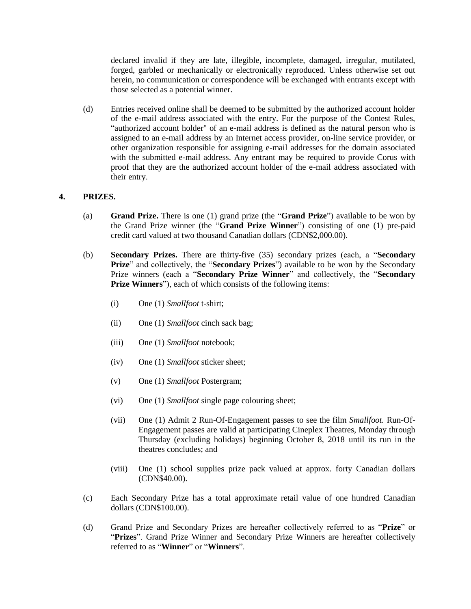declared invalid if they are late, illegible, incomplete, damaged, irregular, mutilated, forged, garbled or mechanically or electronically reproduced. Unless otherwise set out herein, no communication or correspondence will be exchanged with entrants except with those selected as a potential winner.

(d) Entries received online shall be deemed to be submitted by the authorized account holder of the e-mail address associated with the entry. For the purpose of the Contest Rules, "authorized account holder" of an e-mail address is defined as the natural person who is assigned to an e-mail address by an Internet access provider, on-line service provider, or other organization responsible for assigning e-mail addresses for the domain associated with the submitted e-mail address. Any entrant may be required to provide Corus with proof that they are the authorized account holder of the e-mail address associated with their entry.

## **4. PRIZES.**

- (a) **Grand Prize.** There is one (1) grand prize (the "**Grand Prize**") available to be won by the Grand Prize winner (the "**Grand Prize Winner**") consisting of one (1) pre-paid credit card valued at two thousand Canadian dollars (CDN\$2,000.00).
- (b) **Secondary Prizes.** There are thirty-five (35) secondary prizes (each, a "**Secondary Prize**" and collectively, the "**Secondary Prizes**") available to be won by the Secondary Prize winners (each a "**Secondary Prize Winner**" and collectively, the "**Secondary Prize Winners**"), each of which consists of the following items:
	- (i) One (1) *Smallfoot* t-shirt;
	- (ii) One (1) *Smallfoot* cinch sack bag;
	- (iii) One (1) *Smallfoot* notebook;
	- (iv) One (1) *Smallfoot* sticker sheet;
	- (v) One (1) *Smallfoot* Postergram;
	- (vi) One (1) *Smallfoot* single page colouring sheet;
	- (vii) One (1) Admit 2 Run-Of-Engagement passes to see the film *Smallfoot.* Run-Of-Engagement passes are valid at participating Cineplex Theatres, Monday through Thursday (excluding holidays) beginning October 8, 2018 until its run in the theatres concludes; and
	- (viii) One (1) school supplies prize pack valued at approx. forty Canadian dollars (CDN\$40.00).
- (c) Each Secondary Prize has a total approximate retail value of one hundred Canadian dollars (CDN\$100.00).
- (d) Grand Prize and Secondary Prizes are hereafter collectively referred to as "**Prize**" or "**Prizes**". Grand Prize Winner and Secondary Prize Winners are hereafter collectively referred to as "**Winner**" or "**Winners**".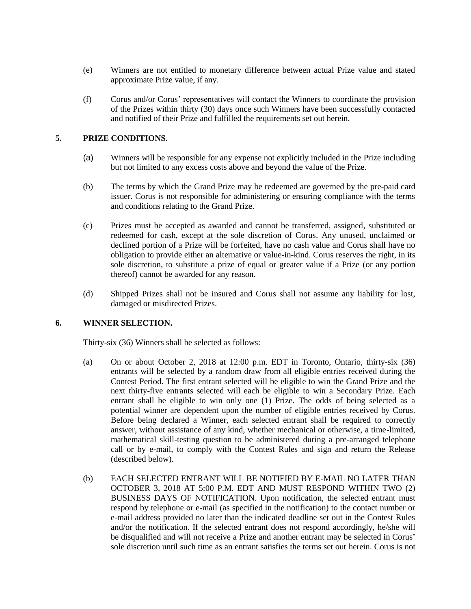- (e) Winners are not entitled to monetary difference between actual Prize value and stated approximate Prize value, if any.
- (f) Corus and/or Corus' representatives will contact the Winners to coordinate the provision of the Prizes within thirty (30) days once such Winners have been successfully contacted and notified of their Prize and fulfilled the requirements set out herein.

#### **5. PRIZE CONDITIONS.**

- (a) Winners will be responsible for any expense not explicitly included in the Prize including but not limited to any excess costs above and beyond the value of the Prize.
- (b) The terms by which the Grand Prize may be redeemed are governed by the pre-paid card issuer. Corus is not responsible for administering or ensuring compliance with the terms and conditions relating to the Grand Prize.
- (c) Prizes must be accepted as awarded and cannot be transferred, assigned, substituted or redeemed for cash, except at the sole discretion of Corus. Any unused, unclaimed or declined portion of a Prize will be forfeited, have no cash value and Corus shall have no obligation to provide either an alternative or value-in-kind. Corus reserves the right, in its sole discretion, to substitute a prize of equal or greater value if a Prize (or any portion thereof) cannot be awarded for any reason.
- (d) Shipped Prizes shall not be insured and Corus shall not assume any liability for lost, damaged or misdirected Prizes.

#### **6. WINNER SELECTION.**

Thirty-six (36) Winners shall be selected as follows:

- (a) On or about October 2, 2018 at 12:00 p.m. EDT in Toronto, Ontario, thirty-six (36) entrants will be selected by a random draw from all eligible entries received during the Contest Period. The first entrant selected will be eligible to win the Grand Prize and the next thirty-five entrants selected will each be eligible to win a Secondary Prize. Each entrant shall be eligible to win only one (1) Prize. The odds of being selected as a potential winner are dependent upon the number of eligible entries received by Corus. Before being declared a Winner, each selected entrant shall be required to correctly answer, without assistance of any kind, whether mechanical or otherwise, a time-limited, mathematical skill-testing question to be administered during a pre-arranged telephone call or by e-mail, to comply with the Contest Rules and sign and return the Release (described below).
- (b) EACH SELECTED ENTRANT WILL BE NOTIFIED BY E-MAIL NO LATER THAN OCTOBER 3, 2018 AT 5:00 P.M. EDT AND MUST RESPOND WITHIN TWO (2) BUSINESS DAYS OF NOTIFICATION. Upon notification, the selected entrant must respond by telephone or e-mail (as specified in the notification) to the contact number or e-mail address provided no later than the indicated deadline set out in the Contest Rules and/or the notification. If the selected entrant does not respond accordingly, he/she will be disqualified and will not receive a Prize and another entrant may be selected in Corus' sole discretion until such time as an entrant satisfies the terms set out herein. Corus is not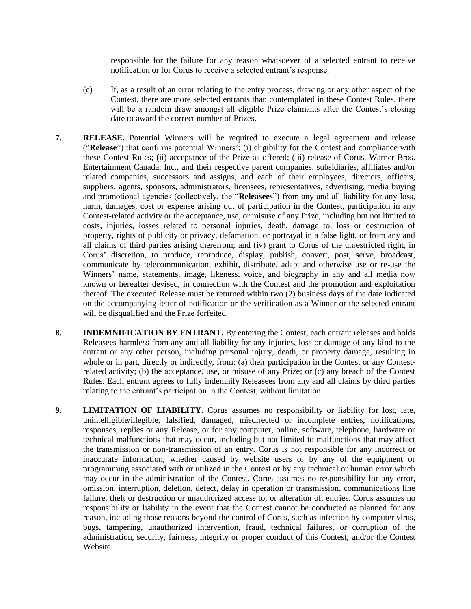responsible for the failure for any reason whatsoever of a selected entrant to receive notification or for Corus to receive a selected entrant's response.

- (c) If, as a result of an error relating to the entry process, drawing or any other aspect of the Contest, there are more selected entrants than contemplated in these Contest Rules, there will be a random draw amongst all eligible Prize claimants after the Contest's closing date to award the correct number of Prizes.
- **7. RELEASE.** Potential Winners will be required to execute a legal agreement and release ("**Release**") that confirms potential Winners': (i) eligibility for the Contest and compliance with these Contest Rules; (ii) acceptance of the Prize as offered; (iii) release of Corus, Warner Bros. Entertainment Canada, Inc., and their respective parent companies, subsidiaries, affiliates and/or related companies, successors and assigns, and each of their employees, directors, officers, suppliers, agents, sponsors, administrators, licensees, representatives, advertising, media buying and promotional agencies (collectively, the "**Releasees**") from any and all liability for any loss, harm, damages, cost or expense arising out of participation in the Contest, participation in any Contest-related activity or the acceptance, use, or misuse of any Prize, including but not limited to costs, injuries, losses related to personal injuries, death, damage to, loss or destruction of property, rights of publicity or privacy, defamation, or portrayal in a false light, or from any and all claims of third parties arising therefrom; and (iv) grant to Corus of the unrestricted right, in Corus' discretion, to produce, reproduce, display, publish, convert, post, serve, broadcast, communicate by telecommunication, exhibit, distribute, adapt and otherwise use or re-use the Winners' name, statements, image, likeness, voice, and biography in any and all media now known or hereafter devised, in connection with the Contest and the promotion and exploitation thereof. The executed Release must be returned within two (2) business days of the date indicated on the accompanying letter of notification or the verification as a Winner or the selected entrant will be disqualified and the Prize forfeited.
- **8. INDEMNIFICATION BY ENTRANT.** By entering the Contest, each entrant releases and holds Releasees harmless from any and all liability for any injuries, loss or damage of any kind to the entrant or any other person, including personal injury, death, or property damage, resulting in whole or in part, directly or indirectly, from: (a) their participation in the Contest or any Contestrelated activity; (b) the acceptance, use, or misuse of any Prize; or (c) any breach of the Contest Rules. Each entrant agrees to fully indemnify Releasees from any and all claims by third parties relating to the entrant's participation in the Contest, without limitation.
- **9. LIMITATION OF LIABILITY.** Corus assumes no responsibility or liability for lost, late, unintelligible/illegible, falsified, damaged, misdirected or incomplete entries, notifications, responses, replies or any Release, or for any computer, online, software, telephone, hardware or technical malfunctions that may occur, including but not limited to malfunctions that may affect the transmission or non-transmission of an entry. Corus is not responsible for any incorrect or inaccurate information, whether caused by website users or by any of the equipment or programming associated with or utilized in the Contest or by any technical or human error which may occur in the administration of the Contest. Corus assumes no responsibility for any error, omission, interruption, deletion, defect, delay in operation or transmission, communications line failure, theft or destruction or unauthorized access to, or alteration of, entries. Corus assumes no responsibility or liability in the event that the Contest cannot be conducted as planned for any reason, including those reasons beyond the control of Corus, such as infection by computer virus, bugs, tampering, unauthorized intervention, fraud, technical failures, or corruption of the administration, security, fairness, integrity or proper conduct of this Contest, and/or the Contest Website.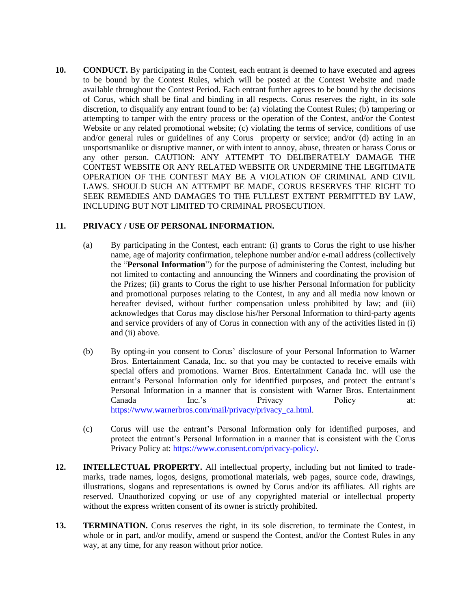**10. CONDUCT.** By participating in the Contest, each entrant is deemed to have executed and agrees to be bound by the Contest Rules, which will be posted at the Contest Website and made available throughout the Contest Period. Each entrant further agrees to be bound by the decisions of Corus, which shall be final and binding in all respects. Corus reserves the right, in its sole discretion, to disqualify any entrant found to be: (a) violating the Contest Rules; (b) tampering or attempting to tamper with the entry process or the operation of the Contest, and/or the Contest Website or any related promotional website; (c) violating the terms of service, conditions of use and/or general rules or guidelines of any Corus property or service; and/or (d) acting in an unsportsmanlike or disruptive manner, or with intent to annoy, abuse, threaten or harass Corus or any other person. CAUTION: ANY ATTEMPT TO DELIBERATELY DAMAGE THE CONTEST WEBSITE OR ANY RELATED WEBSITE OR UNDERMINE THE LEGITIMATE OPERATION OF THE CONTEST MAY BE A VIOLATION OF CRIMINAL AND CIVIL LAWS. SHOULD SUCH AN ATTEMPT BE MADE, CORUS RESERVES THE RIGHT TO SEEK REMEDIES AND DAMAGES TO THE FULLEST EXTENT PERMITTED BY LAW, INCLUDING BUT NOT LIMITED TO CRIMINAL PROSECUTION.

### **11. PRIVACY / USE OF PERSONAL INFORMATION.**

- (a) By participating in the Contest, each entrant: (i) grants to Corus the right to use his/her name, age of majority confirmation, telephone number and/or e-mail address (collectively the "**Personal Information**") for the purpose of administering the Contest, including but not limited to contacting and announcing the Winners and coordinating the provision of the Prizes; (ii) grants to Corus the right to use his/her Personal Information for publicity and promotional purposes relating to the Contest, in any and all media now known or hereafter devised, without further compensation unless prohibited by law; and (iii) acknowledges that Corus may disclose his/her Personal Information to third-party agents and service providers of any of Corus in connection with any of the activities listed in (i) and (ii) above.
- (b) By opting-in you consent to Corus' disclosure of your Personal Information to Warner Bros. Entertainment Canada, Inc. so that you may be contacted to receive emails with special offers and promotions. Warner Bros. Entertainment Canada Inc. will use the entrant's Personal Information only for identified purposes, and protect the entrant's Personal Information in a manner that is consistent with Warner Bros. Entertainment Canada Inc.'s Privacy Policy at: [https://www.warnerbros.com/mail/privacy/privacy\\_ca.html.](https://www.warnerbros.com/mail/privacy/privacy_ca.html)
- (c) Corus will use the entrant's Personal Information only for identified purposes, and protect the entrant's Personal Information in a manner that is consistent with the Corus Privacy Policy at: [https://www.corusent.com/privacy-policy/.](https://www.corusent.com/privacy-policy/)
- **12. INTELLECTUAL PROPERTY.** All intellectual property, including but not limited to trademarks, trade names, logos, designs, promotional materials, web pages, source code, drawings, illustrations, slogans and representations is owned by Corus and/or its affiliates. All rights are reserved. Unauthorized copying or use of any copyrighted material or intellectual property without the express written consent of its owner is strictly prohibited.
- **13. TERMINATION.** Corus reserves the right, in its sole discretion, to terminate the Contest, in whole or in part, and/or modify, amend or suspend the Contest, and/or the Contest Rules in any way, at any time, for any reason without prior notice.